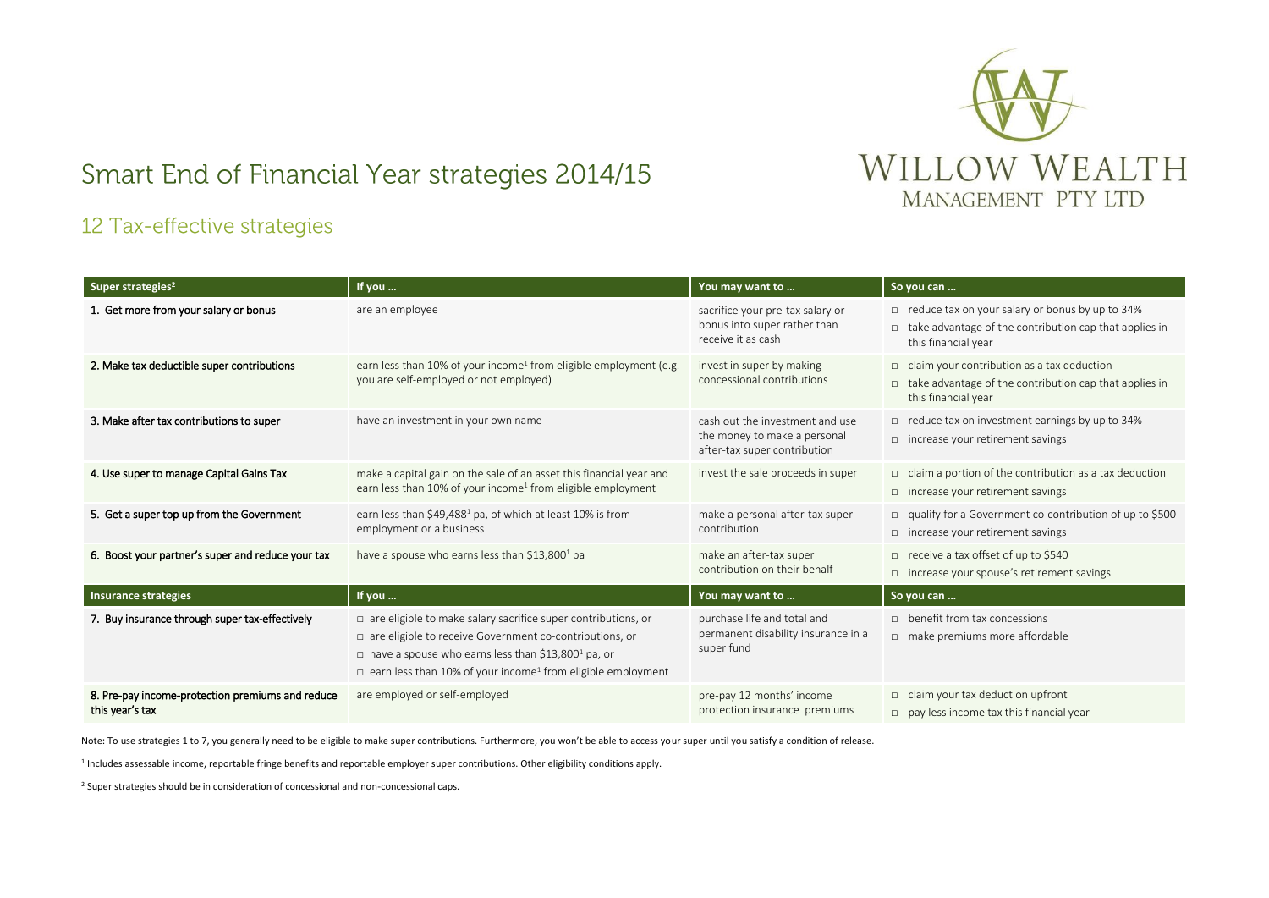

## Smart End of Financial Year strategies 2014/15

## 12 Tax-effective strategies

| Super strategies <sup>2</sup>                                       | If you                                                                                                                                                                                                                                                                                            | You may want to                                                                                 | So you can                                                                                                                                |
|---------------------------------------------------------------------|---------------------------------------------------------------------------------------------------------------------------------------------------------------------------------------------------------------------------------------------------------------------------------------------------|-------------------------------------------------------------------------------------------------|-------------------------------------------------------------------------------------------------------------------------------------------|
| 1. Get more from your salary or bonus                               | are an employee                                                                                                                                                                                                                                                                                   | sacrifice your pre-tax salary or<br>bonus into super rather than<br>receive it as cash          | reduce tax on your salary or bonus by up to 34%<br>$\Box$ take advantage of the contribution cap that applies in<br>this financial year   |
| 2. Make tax deductible super contributions                          | earn less than 10% of your income <sup>1</sup> from eligible employment (e.g.<br>you are self-employed or not employed)                                                                                                                                                                           | invest in super by making<br>concessional contributions                                         | $\Box$ claim your contribution as a tax deduction<br>$\Box$ take advantage of the contribution cap that applies in<br>this financial year |
| 3. Make after tax contributions to super                            | have an investment in your own name                                                                                                                                                                                                                                                               | cash out the investment and use<br>the money to make a personal<br>after-tax super contribution | $\Box$ reduce tax on investment earnings by up to 34%<br>$\Box$ increase your retirement savings                                          |
| 4. Use super to manage Capital Gains Tax                            | make a capital gain on the sale of an asset this financial year and<br>earn less than 10% of your income <sup>1</sup> from eligible employment                                                                                                                                                    | invest the sale proceeds in super                                                               | $\Box$ claim a portion of the contribution as a tax deduction<br>$\Box$ increase your retirement savings                                  |
| 5. Get a super top up from the Government                           | earn less than \$49,488 <sup>1</sup> pa, of which at least 10% is from<br>employment or a business                                                                                                                                                                                                | make a personal after-tax super<br>contribution                                                 | □ qualify for a Government co-contribution of up to \$500<br>$\Box$ increase your retirement savings                                      |
| 6. Boost your partner's super and reduce your tax                   | have a spouse who earns less than \$13,800 <sup>1</sup> pa                                                                                                                                                                                                                                        | make an after-tax super<br>contribution on their behalf                                         | □ receive a tax offset of up to \$540<br>$\Box$ increase your spouse's retirement savings                                                 |
| <b>Insurance strategies</b>                                         | If you                                                                                                                                                                                                                                                                                            | You may want to                                                                                 | So you can                                                                                                                                |
| 7. Buy insurance through super tax-effectively                      | $\Box$ are eligible to make salary sacrifice super contributions, or<br>$\Box$ are eligible to receive Government co-contributions, or<br>$\Box$ have a spouse who earns less than \$13,800 <sup>1</sup> pa, or<br>$\Box$ earn less than 10% of your income <sup>1</sup> from eligible employment | purchase life and total and<br>permanent disability insurance in a<br>super fund                | $\Box$ benefit from tax concessions<br>$\Box$ make premiums more affordable                                                               |
| 8. Pre-pay income-protection premiums and reduce<br>this year's tax | are employed or self-employed                                                                                                                                                                                                                                                                     | pre-pay 12 months' income<br>protection insurance premiums                                      | $\Box$ claim your tax deduction upfront<br>$\Box$ pay less income tax this financial year                                                 |

Note: To use strategies 1 to 7, you generally need to be eligible to make super contributions. Furthermore, you won't be able to access your super until you satisfy a condition of release.

1 Includes assessable income, reportable fringe benefits and reportable employer super contributions. Other eligibility conditions apply.

<sup>2</sup> Super strategies should be in consideration of concessional and non-concessional caps.